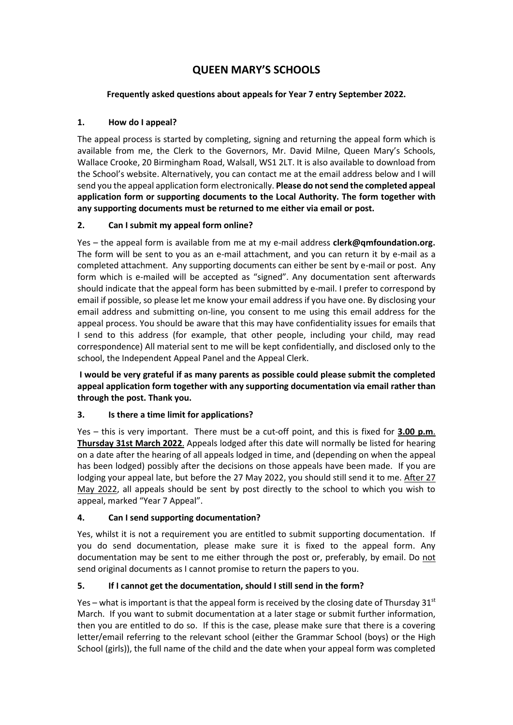# **QUEEN MARY'S SCHOOLS**

### **Frequently asked questions about appeals for Year 7 entry September 2022.**

### **1. How do I appeal?**

The appeal process is started by completing, signing and returning the appeal form which is available from me, the Clerk to the Governors, Mr. David Milne, Queen Mary's Schools, Wallace Crooke, 20 Birmingham Road, Walsall, WS1 2LT. It is also available to download from the School's website. Alternatively, you can contact me at the email address below and I will send you the appeal application form electronically. **Please do not send the completed appeal application form or supporting documents to the Local Authority. The form together with any supporting documents must be returned to me either via email or post.**

### **2. Can I submit my appeal form online?**

Yes – the appeal form is available from me at my e-mail address **clerk@qmfoundation.org**. The form will be sent to you as an e-mail attachment, and you can return it by e-mail as a completed attachment. Any supporting documents can either be sent by e-mail or post. Any form which is e-mailed will be accepted as "signed". Any documentation sent afterwards should indicate that the appeal form has been submitted by e-mail. I prefer to correspond by email if possible, so please let me know your email address if you have one. By disclosing your email address and submitting on-line, you consent to me using this email address for the appeal process. You should be aware that this may have confidentiality issues for emails that I send to this address (for example, that other people, including your child, may read correspondence) All material sent to me will be kept confidentially, and disclosed only to the school, the Independent Appeal Panel and the Appeal Clerk.

**I would be very grateful if as many parents as possible could please submit the completed appeal application form together with any supporting documentation via email rather than through the post. Thank you.**

### **3. Is there a time limit for applications?**

Yes – this is very important. There must be a cut-off point, and this is fixed for **3.00 p.m**. **Thursday 31st March 2022**. Appeals lodged after this date will normally be listed for hearing on a date after the hearing of all appeals lodged in time, and (depending on when the appeal has been lodged) possibly after the decisions on those appeals have been made. If you are lodging your appeal late, but before the 27 May 2022, you should still send it to me. After 27 May 2022, all appeals should be sent by post directly to the school to which you wish to appeal, marked "Year 7 Appeal".

# **4. Can I send supporting documentation?**

Yes, whilst it is not a requirement you are entitled to submit supporting documentation. If you do send documentation, please make sure it is fixed to the appeal form. Any documentation may be sent to me either through the post or, preferably, by email. Do not send original documents as I cannot promise to return the papers to you.

### **5. If I cannot get the documentation, should I still send in the form?**

Yes – what is important is that the appeal form is received by the closing date of Thursday  $31^{st}$ March. If you want to submit documentation at a later stage or submit further information, then you are entitled to do so. If this is the case, please make sure that there is a covering letter/email referring to the relevant school (either the Grammar School (boys) or the High School (girls)), the full name of the child and the date when your appeal form was completed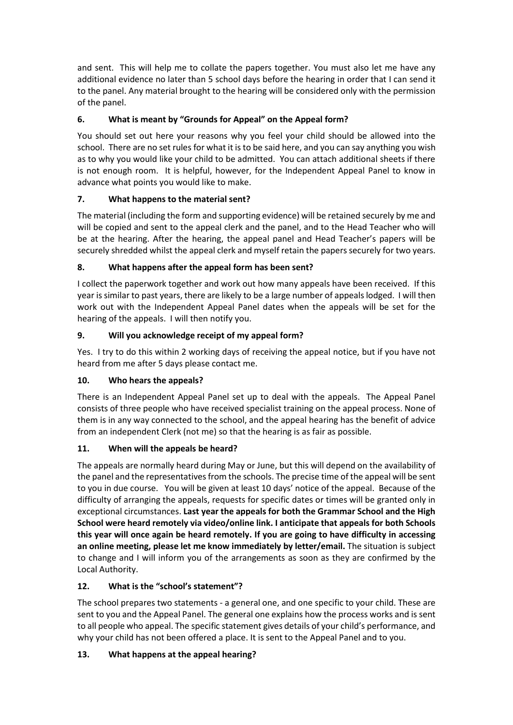and sent. This will help me to collate the papers together. You must also let me have any additional evidence no later than 5 school days before the hearing in order that I can send it to the panel. Any material brought to the hearing will be considered only with the permission of the panel.

# **6. What is meant by "Grounds for Appeal" on the Appeal form?**

You should set out here your reasons why you feel your child should be allowed into the school. There are no set rules for what it is to be said here, and you can say anything you wish as to why you would like your child to be admitted. You can attach additional sheets if there is not enough room. It is helpful, however, for the Independent Appeal Panel to know in advance what points you would like to make.

# **7. What happens to the material sent?**

The material (including the form and supporting evidence) will be retained securely by me and will be copied and sent to the appeal clerk and the panel, and to the Head Teacher who will be at the hearing. After the hearing, the appeal panel and Head Teacher's papers will be securely shredded whilst the appeal clerk and myself retain the papers securely for two years.

# **8. What happens after the appeal form has been sent?**

I collect the paperwork together and work out how many appeals have been received. If this year is similar to past years, there are likely to be a large number of appeals lodged. I will then work out with the Independent Appeal Panel dates when the appeals will be set for the hearing of the appeals. I will then notify you.

# **9. Will you acknowledge receipt of my appeal form?**

Yes. I try to do this within 2 working days of receiving the appeal notice, but if you have not heard from me after 5 days please contact me.

# **10. Who hears the appeals?**

There is an Independent Appeal Panel set up to deal with the appeals. The Appeal Panel consists of three people who have received specialist training on the appeal process. None of them is in any way connected to the school, and the appeal hearing has the benefit of advice from an independent Clerk (not me) so that the hearing is as fair as possible.

# **11. When will the appeals be heard?**

The appeals are normally heard during May or June, but this will depend on the availability of the panel and the representatives from the schools. The precise time of the appeal will be sent to you in due course. You will be given at least 10 days' notice of the appeal. Because of the difficulty of arranging the appeals, requests for specific dates or times will be granted only in exceptional circumstances. **Last year the appeals for both the Grammar School and the High School were heard remotely via video/online link. I anticipate that appeals for both Schools this year will once again be heard remotely. If you are going to have difficulty in accessing an online meeting, please let me know immediately by letter/email.** The situation is subject to change and I will inform you of the arrangements as soon as they are confirmed by the Local Authority.

# **12. What is the "school's statement"?**

The school prepares two statements - a general one, and one specific to your child. These are sent to you and the Appeal Panel. The general one explains how the process works and is sent to all people who appeal. The specific statement gives details of your child's performance, and why your child has not been offered a place. It is sent to the Appeal Panel and to you.

# **13. What happens at the appeal hearing?**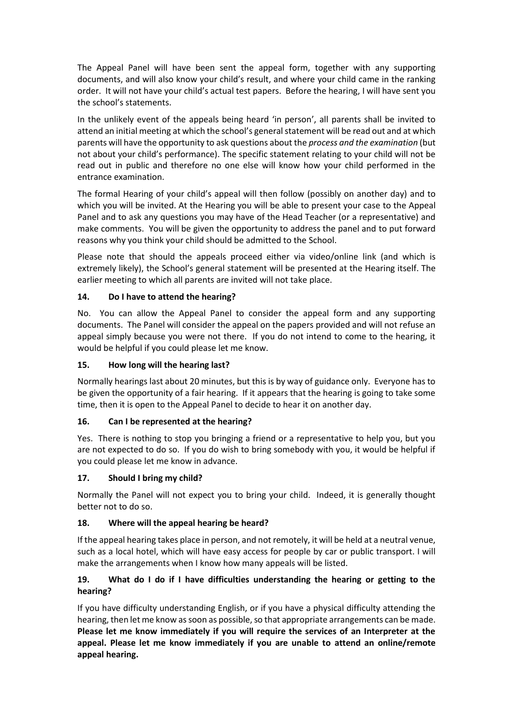The Appeal Panel will have been sent the appeal form, together with any supporting documents, and will also know your child's result, and where your child came in the ranking order. It will not have your child's actual test papers. Before the hearing, I will have sent you the school's statements.

In the unlikely event of the appeals being heard 'in person', all parents shall be invited to attend an initial meeting at which the school's general statement will be read out and at which parents will have the opportunity to ask questions about the *process and the examination* (but not about your child's performance). The specific statement relating to your child will not be read out in public and therefore no one else will know how your child performed in the entrance examination.

The formal Hearing of your child's appeal will then follow (possibly on another day) and to which you will be invited. At the Hearing you will be able to present your case to the Appeal Panel and to ask any questions you may have of the Head Teacher (or a representative) and make comments. You will be given the opportunity to address the panel and to put forward reasons why you think your child should be admitted to the School.

Please note that should the appeals proceed either via video/online link (and which is extremely likely), the School's general statement will be presented at the Hearing itself. The earlier meeting to which all parents are invited will not take place.

### **14. Do I have to attend the hearing?**

No. You can allow the Appeal Panel to consider the appeal form and any supporting documents. The Panel will consider the appeal on the papers provided and will not refuse an appeal simply because you were not there. If you do not intend to come to the hearing, it would be helpful if you could please let me know.

### **15. How long will the hearing last?**

Normally hearings last about 20 minutes, but this is by way of guidance only. Everyone has to be given the opportunity of a fair hearing. If it appears that the hearing is going to take some time, then it is open to the Appeal Panel to decide to hear it on another day.

### **16. Can I be represented at the hearing?**

Yes. There is nothing to stop you bringing a friend or a representative to help you, but you are not expected to do so. If you do wish to bring somebody with you, it would be helpful if you could please let me know in advance.

### **17. Should I bring my child?**

Normally the Panel will not expect you to bring your child. Indeed, it is generally thought better not to do so.

#### **18. Where will the appeal hearing be heard?**

If the appeal hearing takes place in person, and not remotely, it will be held at a neutral venue, such as a local hotel, which will have easy access for people by car or public transport. I will make the arrangements when I know how many appeals will be listed.

### **19. What do I do if I have difficulties understanding the hearing or getting to the hearing?**

If you have difficulty understanding English, or if you have a physical difficulty attending the hearing, then let me know as soon as possible, so that appropriate arrangements can be made. **Please let me know immediately if you will require the services of an Interpreter at the appeal. Please let me know immediately if you are unable to attend an online/remote appeal hearing.**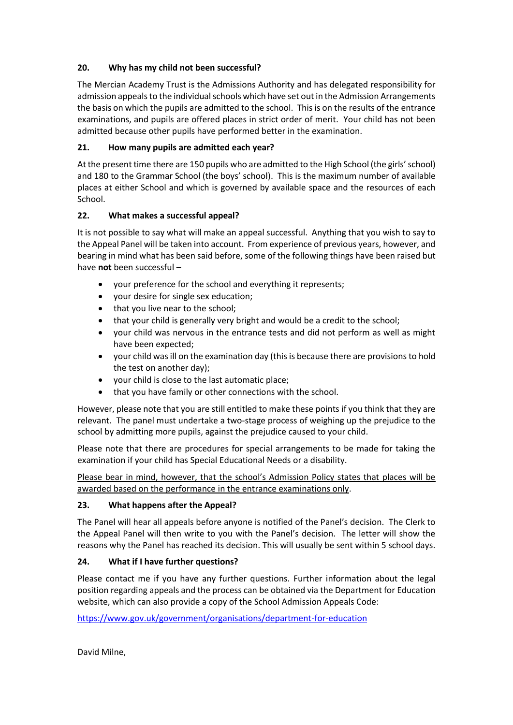### **20. Why has my child not been successful?**

The Mercian Academy Trust is the Admissions Authority and has delegated responsibility for admission appeals to the individual schools which have set out in the Admission Arrangements the basis on which the pupils are admitted to the school. This is on the results of the entrance examinations, and pupils are offered places in strict order of merit. Your child has not been admitted because other pupils have performed better in the examination.

### **21. How many pupils are admitted each year?**

At the present time there are 150 pupils who are admitted to the High School (the girls' school) and 180 to the Grammar School (the boys' school). This is the maximum number of available places at either School and which is governed by available space and the resources of each School.

### **22. What makes a successful appeal?**

It is not possible to say what will make an appeal successful. Anything that you wish to say to the Appeal Panel will be taken into account. From experience of previous years, however, and bearing in mind what has been said before, some of the following things have been raised but have **not** been successful –

- your preference for the school and everything it represents;
- your desire for single sex education;
- that you live near to the school;
- that your child is generally very bright and would be a credit to the school;
- your child was nervous in the entrance tests and did not perform as well as might have been expected;
- your child was ill on the examination day (this is because there are provisions to hold the test on another day);
- your child is close to the last automatic place;
- that you have family or other connections with the school.

However, please note that you are still entitled to make these points if you think that they are relevant. The panel must undertake a two-stage process of weighing up the prejudice to the school by admitting more pupils, against the prejudice caused to your child.

Please note that there are procedures for special arrangements to be made for taking the examination if your child has Special Educational Needs or a disability.

Please bear in mind, however, that the school's Admission Policy states that places will be awarded based on the performance in the entrance examinations only.

### **23. What happens after the Appeal?**

The Panel will hear all appeals before anyone is notified of the Panel's decision. The Clerk to the Appeal Panel will then write to you with the Panel's decision. The letter will show the reasons why the Panel has reached its decision. This will usually be sent within 5 school days.

### **24. What if I have further questions?**

Please contact me if you have any further questions. Further information about the legal position regarding appeals and the process can be obtained via the Department for Education website, which can also provide a copy of the School Admission Appeals Code:

<https://www.gov.uk/government/organisations/department-for-education>

David Milne,